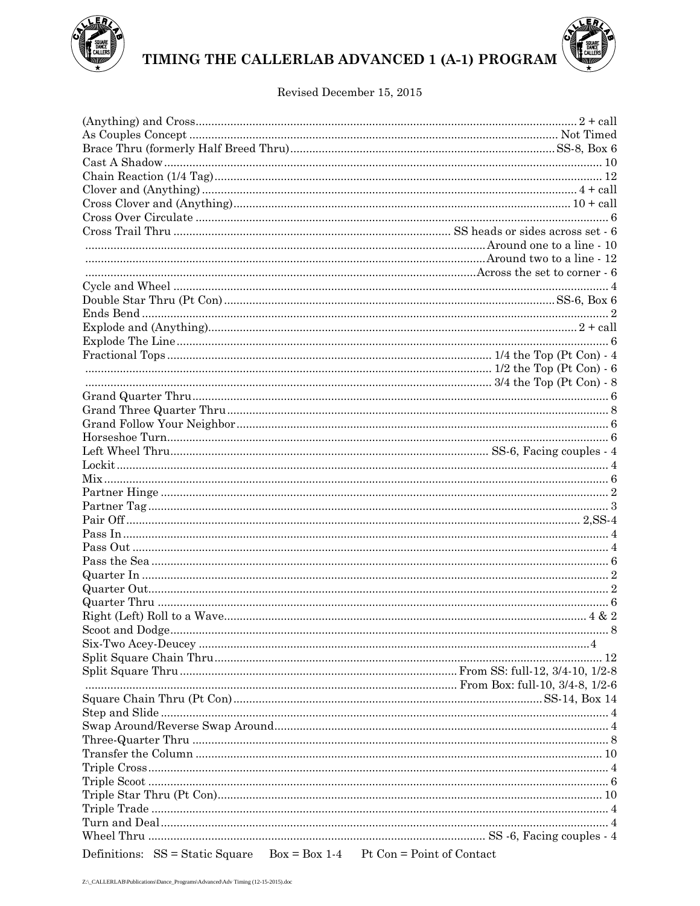

## TIMING THE CALLERLAB ADVANCED 1 (A-1) PROGRAM

## Revised December 15, 2015

| Definitions: $SS = Static Square$ $Box = Box 1-4$ Pt Con = Point of Contact |  |
|-----------------------------------------------------------------------------|--|